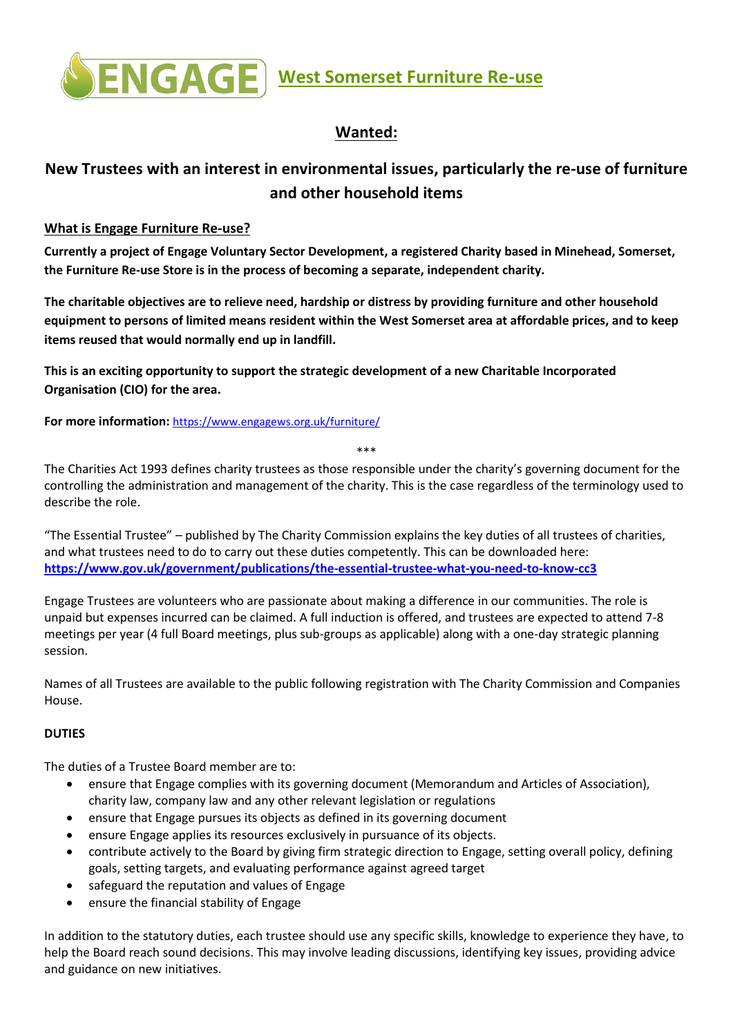

## **Wanted:**

# **New Trustees with an interest in environmental issues, particularly the re-use of furniture and other household items**

## **What is Engage Furniture Re-use?**

**Currently a project of Engage Voluntary Sector Development, a registered Charity based in Minehead, Somerset, the Furniture Re-use Store is in the process of becoming a separate, independent charity.** 

**The charitable objectives are to relieve need, hardship or distress by providing furniture and other household equipment to persons of limited means resident within the West Somerset area at affordable prices, and to keep items reused that would normally end up in landfill.**

**This is an exciting opportunity to support the strategic development of a new Charitable Incorporated Organisation (CIO) for the area.**

**For more information:** <https://www.engagews.org.uk/furniture/>

\*\*\*

The Charities Act 1993 defines charity trustees as those responsible under the charity's governing document for the controlling the administration and management of the charity. This is the case regardless of the terminology used to describe the role.

"The Essential Trustee" – published by The Charity Commission explains the key duties of all trustees of charities, and what trustees need to do to carry out these duties competently. This can be downloaded here: **<https://www.gov.uk/government/publications/the-essential-trustee-what-you-need-to-know-cc3>**

Engage Trustees are volunteers who are passionate about making a difference in our communities. The role is unpaid but expenses incurred can be claimed. A full induction is offered, and trustees are expected to attend 7-8 meetings per year (4 full Board meetings, plus sub-groups as applicable) along with a one-day strategic planning session.

Names of all Trustees are available to the public following registration with The Charity Commission and Companies House.

### **DUTIES**

The duties of a Trustee Board member are to:

- ensure that Engage complies with its governing document (Memorandum and Articles of Association), charity law, company law and any other relevant legislation or regulations
- ensure that Engage pursues its objects as defined in its governing document
- ensure Engage applies its resources exclusively in pursuance of its objects.
- contribute actively to the Board by giving firm strategic direction to Engage, setting overall policy, defining goals, setting targets, and evaluating performance against agreed target
- safeguard the reputation and values of Engage
- ensure the financial stability of Engage

In addition to the statutory duties, each trustee should use any specific skills, knowledge to experience they have, to help the Board reach sound decisions. This may involve leading discussions, identifying key issues, providing advice and guidance on new initiatives.